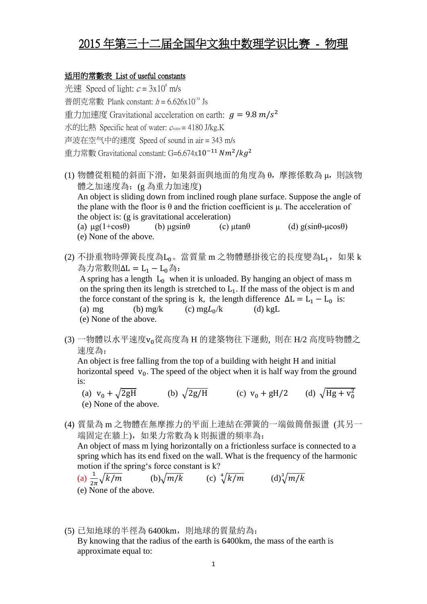## 2015 年第三十二届全国华文独中数理学识比赛 - 物理

## 适用的常數表 List of useful constants

光速 Speed of light:  $c = 3x10^8$  m/s 普朗克常數 Plank constant:  $h = 6.626 \times 10^{-34}$  Js 重力加速度 Gravitational acceleration on earth:  $g = 9.8 \, m/s^2$ 水的比熱 Specific heat of water:  $C_{\text{water}} = 4180 \text{ J/kg.K}$ 声波在空气中的速度 Speed of sound in air = 343 m/s 重力常數 Gravitational constant: G=6.674x10<sup>-11</sup>  $Nm^2/$ 

(1) 物體從粗糙的斜面下滑,如果斜面與地面的角度為 θ,摩擦係數為 μ,則該物 體之加速度為:(g 為重力加速度) An object is sliding down from inclined rough plane surface. Suppose the angle of the plane with the floor is  $\theta$  and the friction coefficient is  $\mu$ . The acceleration of

the object is: (g is gravitational acceleration) (a)  $\mu$ g(1+cosθ) (b)  $\mu$ gsinθ (c)  $\mu$ tanθ (d) g(sinθ- $\mu$ cosθ) (e) None of the above.

(2) 不掛重物時彈簧長度為Lo。當質量m 之物體懸掛後它的長度變為L1, 如果 k 為力常數則 $\Delta L = L_1 - L_0$ 為:

A spring has a length  $L_0$  when it is unloaded. By hanging an object of mass m on the spring then its length is stretched to  $L_1$ . If the mass of the object is m and the force constant of the spring is k, the length difference  $\Delta L = L_1 - L_0$  is: (a) mg (b) mg/k (c) mg $L_0/k$  (d) kgL

(e) None of the above.

(3) 一物體以水平速度 v<sub>o</sub>從高度為 H 的建築物往下運動, 則在 H/2 高度時物體之 速度為:

An object is free falling from the top of a building with height H and initial horizontal speed  $v_0$ . The speed of the object when it is half way from the ground is:

- (a)  $v_0 + \sqrt{2gH}$  (b)  $\sqrt{2g/H}$  (c)  $v_0 + gH/2$  (d)  $\sqrt{Hg + v_0^2}$ (e) None of the above.
- (4) 質量為 m 之物體在無摩擦力的平面上連結在彈簧的一端做簡偕振盪 (其另一 端固定在牆上),如果力常數為 k 則振盪的頻率為:

An object of mass m lying horizontally on a frictionless surface is connected to a spring which has its end fixed on the wall. What is the frequency of the harmonic motion if the spring's force constant is k?

(a)  $\frac{1}{2\pi}\sqrt{k/m}$  (b) $\sqrt{m/k}$  (c)  $\sqrt[4]{k/m}$  (d) $\sqrt[3]{\sqrt{k/m}}$ (e) None of the above.

(5) 已知地球的半徑為 6400km, 則地球的質量約為: By knowing that the radius of the earth is 6400km, the mass of the earth is approximate equal to: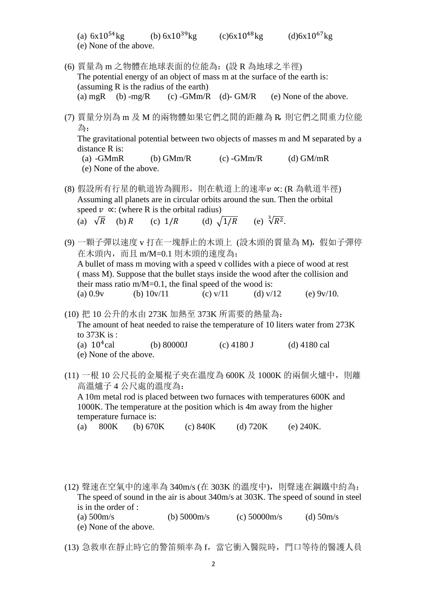- (a)  $6x10^{54}$ kg (b)  $6x10^{39}$ kg (c) $6x10^{48}$ kg (d) $6x10^{67}$ kg (e) None of the above.
- (6) 質量為 m 之物體在地球表面的位能為:(設 R 為地球之半徑) The potential energy of an object of mass m at the surface of the earth is: (assuming R is the radius of the earth) (a) mgR (b) -mg/R (c) -GMm/R (d)- GM/R (e) None of the above.
- (7) 質量分別為 m 及 M 的兩物體如果它們之間的距離為 R,則它們之間重力位能 為:

The gravitational potential between two objects of masses m and M separated by a distance R is:

(a)  $-GMmR$  (b)  $GMm/R$  (c)  $-GMm/R$  (d)  $GM/mR$ (e) None of the above.

- (8) 假設所有行星的軌道皆為圓形, 則在軌道上的速率  $u$  α: (R 為軌道半徑) Assuming all planets are in circular orbits around the sun. Then the orbital speed  $v \propto$ : (where R is the orbital radius) (a)  $\sqrt{R}$  (b) R (c)  $1/R$  (d)  $\sqrt{1/R}$  $\sqrt[3]{R^2}$ .
- (9) 一顆子彈以速度 v 打在一塊靜止的木頭上 (設木頭的質量為 M), 假如子彈停 在木頭內,而且 m/M=0.1 則木頭的速度為: A bullet of mass m moving with a speed v collides with a piece of wood at rest ( mass M). Suppose that the bullet stays inside the wood after the collision and their mass ratio m/M=0.1, the final speed of the wood is: (a)  $0.9v$  (b)  $10v/11$  (c)  $v/11$  (d)  $v/12$  (e)  $9v/10$ .
- (10) 把 10 公升的水由 273K 加熱至 373K 所需要的熱量為: The amount of heat needed to raise the temperature of 10 liters water from 273K to 373K is : (a)  $10^4$ cal (b) 80000J (c) 4180 J (d) 4180 cal
	- (e) None of the above.
- (11) 一根 10 公尺長的金屬棍子夾在溫度為 600K 及 1000K 的兩個火爐中, 則離 高溫爐子 4 公尺處的溫度為:

A 10m metal rod is placed between two furnaces with temperatures 600K and 1000K. The temperature at the position which is 4m away from the higher temperature furnace is:

- (a) 800K (b) 670K (c) 840K (d) 720K (e) 240K.
- (12) 聲速在空氣中的速率為 340m/s (在 303K 的溫度中), 則聲速在鋼鐵中約為: The speed of sound in the air is about 340m/s at 303K. The speed of sound in steel is in the order of :
	- (a)  $500 \text{m/s}$  (b)  $5000 \text{m/s}$  (c)  $50000 \text{m/s}$  (d)  $50 \text{m/s}$ (e) None of the above.
- (13) 急救車在靜止時它的警笛頻率為 f, 當它衝入醫院時, 門口等待的醫護人員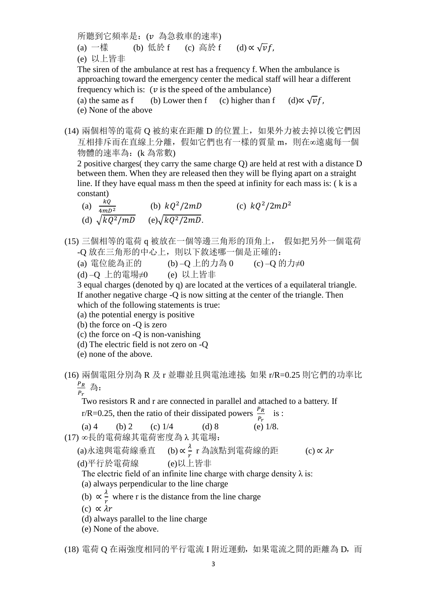所聽到它頻率是: (v 為急救車的速率)

(a) 一樣 (b) 低於 f (c) 高於 f (d)  $\propto \sqrt{\nu} f$ ,

(e) 以上皆非

The siren of the ambulance at rest has a frequency f. When the ambulance is approaching toward the emergency center the medical staff will hear a different frequency which is:  $(v$  is the speed of the ambulance)

```
(a) the same as f (b) Lower then f (c) higher than f (d)\propto \sqrt{\nu} f,
(e) None of the above
```
(14) 兩個相等的電荷 Q 被約束在距離 D 的位置上, 如果外力被去掉以後它們因 互相排斥而在直線上分離,假如它們也有一樣的質量 m,則在∞遠處每一個 物體的速率為:(k 為常數)

2 positive charges( they carry the same charge Q) are held at rest with a distance D between them. When they are released then they will be flying apart on a straight line. If they have equal mass m then the speed at infinity for each mass is: ( k is a constant)

- (a)  $\frac{kQ}{4mD^2}$  (b)  $kQ^2/2mD$  (c)  $kQ^2/2mD^2$ (d)  $\sqrt{k}Q^2/mD$  (e) $\sqrt{k}Q^2/2mD$ .
- (15) 三個相等的電荷 q 被放在一個等邊三角形的頂角上, 假如把另外一個電荷 -O 放在三角形的中心上, 則以下敘述哪一個是正確的:
	- (a) 電位能為正的 (b) –Q 上的力為 0 (c) –Q 的力≠0
	- (d) –Q 上的電場≠0 (e) 以上皆非

3 equal charges (denoted by q) are located at the vertices of a equilateral triangle. If another negative charge -Q is now sitting at the center of the triangle. Then which of the following statements is true:

- (a) the potential energy is positive
- (b) the force on -Q is zero
- (c) the force on -Q is non-vanishing
- (d) The electric field is not zero on -Q
- (e) none of the above.
- (16) 兩個電阻分別為 R 及 r 並聯並且與電池連接,如果 r/R=0.25 則它們的功率比  $\boldsymbol{P}$  $\frac{P_R}{P_T}$ 為:

Two resistors R and r are connected in parallel and attached to a battery. If

r/R=0.25, then the ratio of their dissipated powers  $\frac{P_R}{P_r}$  is :

(a) 4 (b) 2 (c)  $1/4$  (d) 8

(17) ∞長的電荷線其電荷密度為 λ 其電場:

(a) 永遠與電荷線垂直 λ  $\frac{2}{r}$ r 為該點到電荷線的距 (c)  $\propto$ (d)平行於電荷線

The electric field of an infinite line charge with charge density  $\lambda$  is:

(a) always perpendicular to the line charge

- (b)  $\propto \frac{\lambda}{a}$  $\frac{\pi}{r}$  where r is the distance from the line charge
- (c)  $\propto \lambda r$
- (d) always parallel to the line charge
- (e) None of the above.

(18) 電荷 Q 在兩強度相同的平行電流 I 附近運動, 如果電流之間的距離為 D, 而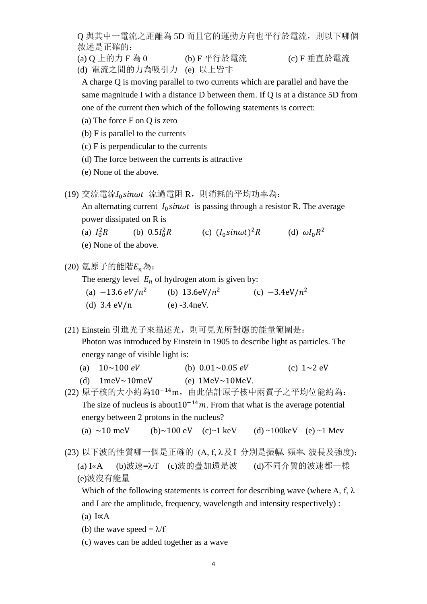O 與其中一電流之距離為 5D 而且它的運動方向也平行於電流, 則以下哪個 敘述是正確的:

(a) Q 上的力 F 為 0 (b) F 平行於電流 (c) F 垂直於電流 (d) 電流之間的力為吸引力 (e) 以上皆非

A charge Q is moving parallel to two currents which are parallel and have the same magnitude I with a distance D between them. If Q is at a distance 5D from one of the current then which of the following statements is correct:

- (a) The force F on Q is zero
- (b) F is parallel to the currents
- (c) F is perpendicular to the currents
- (d) The force between the currents is attractive
- (e) None of the above.
- (19) 交流電流 Insinat 流過電阻 R, 則消耗的平均功率為:

An alternating current  $I_0 \sin \omega t$  is passing through a resistor R. The average power dissipated on R is

(a)  $I_0^2 R$ (b)  $0.5I_0^2R$ (c)  $(I_0\sin\omega t)^2R$ <sup>2</sup>R (d)  $\omega I_0 R^2$ 

(e) None of the above.

## (20) 氫原子的能階 $E_n$ 為:

The energy level  $E_n$  of hydrogen atom is given by:

(a)  $-13.6 \text{ eV}/n^2$  (b)  $13.6 \text{ eV}/n^2$ (c)  $-3.4 \text{eV}/n^2$ (d)  $3.4 \text{ eV/n}$  (e)  $-3.4 \text{ neV}$ .

(21) Einstein 引進光子來描述光,則可見光所對應的能量範圍是:

Photon was introduced by Einstein in 1905 to describe light as particles. The energy range of visible light is:

- (a)  $10 \sim 100 \text{ eV}$  (b)  $0.01 \sim 0.05 \text{ eV}$  (c)  $1 \sim 2 \text{ eV}$
- (d)  $1 \text{meV} \sim 10 \text{meV}$  (e)  $1 \text{MeV} \sim 10 \text{MeV}$ .
- (22) 原子核的大小約為10<sup>-14</sup>m, 由此估計原子核中兩質子之平均位能約為: The size of nucleus is about  $10^{-14}$ m. From that what is the average potential energy between 2 protons in the nucleus?
	- (a)  $\sim$ 10 meV (b) $\sim$ 100 eV (c) $\sim$ 1 keV (d)  $\sim$ 100keV (e)  $\sim$ 1 Mev
- (23) 以下波的性質哪一個是正確的 (A, f, λ及I 分別是振幅、頻率、波長及強度): (a) I∝A (b)波速=λ/f (c)波的疊加還是波 (d)不同介質的波速都一樣 (e)波沒有能量

Which of the following statements is correct for describing wave (where A, f,  $\lambda$ ) and I are the amplitude, frequency, wavelength and intensity respectively) :

- (a)  $I \propto A$
- (b) the wave speed  $=\lambda/f$
- (c) waves can be added together as a wave